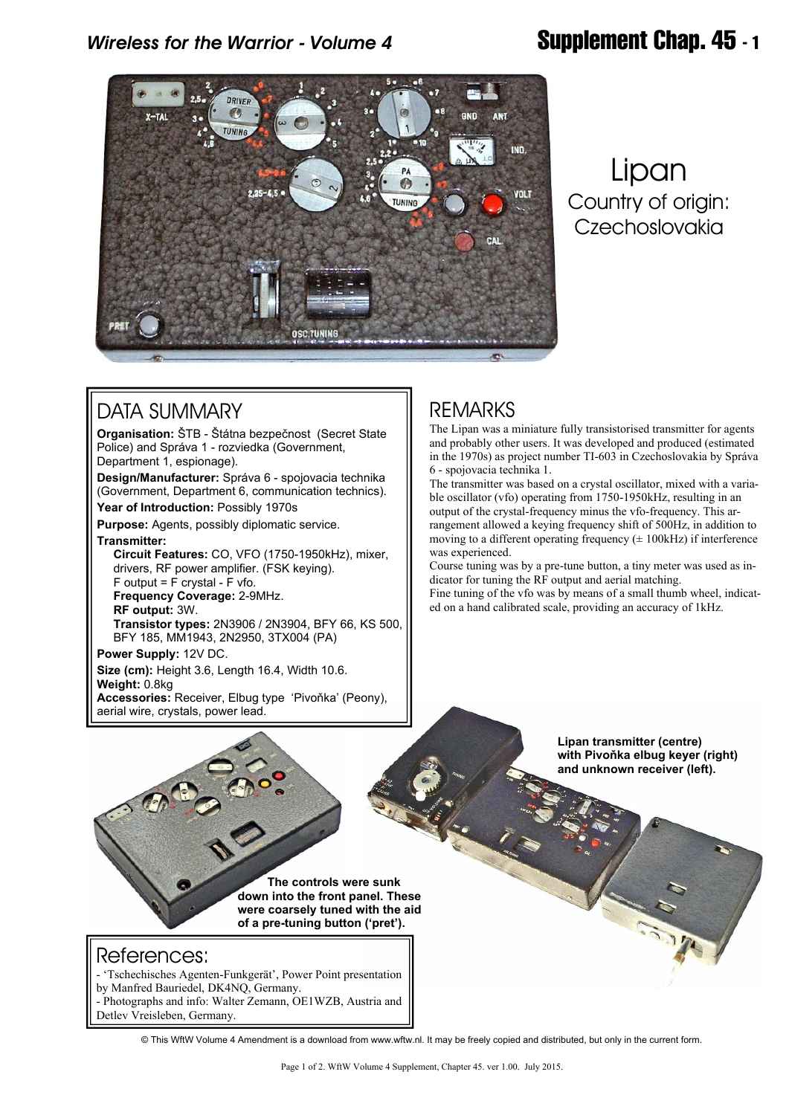## *Wireless for the Warrior - Volume 4* **Supplement Chap. 45 - 1**



# Lipan Country of origin: Czechoslovakia

### DATA SUMMARY

**Organisation:** ŠTB - Štátna bezpečnost (Secret State Police) and Správa 1 - rozviedka (Government,

Department 1, espionage).

**Design/Manufacturer:** Správa 6 - spojovacia technika (Government, Department 6, communication technics).

**Year of Introduction:** Possibly 1970s

**Purpose:** Agents, possibly diplomatic service.

**Transmitter:**

 **Circuit Features:** CO, VFO (1750-1950kHz), mixer, drivers, RF power amplifier. (FSK keying). F output = F crystal - F vfo.

 **Frequency Coverage:** 2-9MHz.

 **RF output:** 3W.

 **Transistor types:** 2N3906 / 2N3904, BFY 66, KS 500, BFY 185, MM1943, 2N2950, 3TX004 (PA)

**Power Supply:** 12V DC. **Size (cm):** Height 3.6, Length 16.4, Width 10.6. **Weight:** 0.8kg **Accessories:** Receiver, Elbug type 'Pivoňka' (Peony), aerial wire, crystals, power lead.

#### REMARKS

The Lipan was a miniature fully transistorised transmitter for agents and probably other users. It was developed and produced (estimated in the 1970s) as project number TI-603 in Czechoslovakia by Správa 6 - spojovacia technika 1.

The transmitter was based on a crystal oscillator, mixed with a variable oscillator (vfo) operating from 1750-1950kHz, resulting in an output of the crystal-frequency minus the vfo-frequency. This arrangement allowed a keying frequency shift of 500Hz, in addition to moving to a different operating frequency  $(± 100kHz)$  if interference was experienced.

Course tuning was by a pre-tune button, a tiny meter was used as indicator for tuning the RF output and aerial matching.

Fine tuning of the vfo was by means of a small thumb wheel, indicated on a hand calibrated scale, providing an accuracy of 1kHz.

 **The controls were sunk down into the front panel. These were coarsely tuned with the aid of a pre-tuning button ('pret').**

**Lipan transmitter (centre) with Pivoňka elbug keyer (right) and unknown receiver (left).**

#### References:

- 'Tschechisches Agenten-Funkgerät', Power Point presentation by Manfred Bauriedel, DK4NQ, Germany. - Photographs and info: Walter Zemann, OE1WZB, Austria and

Detlev Vreisleben, Germany.

© This WftW Volume 4 Amendment is a download from www.wftw.nl. It may be freely copied and distributed, but only in the current form.